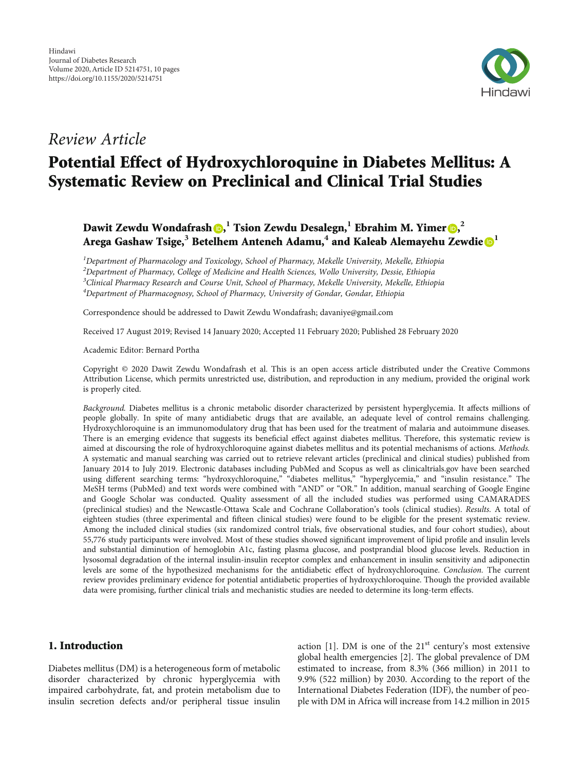

## Review Article

# Potential Effect of Hydroxychloroquine in Diabetes Mellitus: A Systematic Review on Preclinical and Clinical Trial Studies

## Dawit Zewdu Wondafrash **D[,](https://orcid.org/0000-0003-3140-4967)** Tsion Zewdu Desalegn, I Ebrahim M. Yimer **D,** 2 Arega Gashaw Tsige,**<sup>3</sup>** Betelhem Anteneh Adamu,**<sup>4</sup>** and Kaleab Alemayehu Zewdie **<sup>1</sup>**

<sup>1</sup>Department of Pharmacology and Toxicology, School of Pharmacy, Mekelle University, Mekelle, Ethiopia

 $^2$ Department of Pharmacy, College of Medicine and Health Sciences, Wollo University, Dessie, Ethiopia

<sup>3</sup>Clinical Pharmacy Research and Course Unit, School of Pharmacy, Mekelle University, Mekelle, Ethiopia

 $^4$ Department of Pharmacognosy, School of Pharmacy, University of Gondar, Gondar, Ethiopia

Correspondence should be addressed to Dawit Zewdu Wondafrash; davaniye@gmail.com

Received 17 August 2019; Revised 14 January 2020; Accepted 11 February 2020; Published 28 February 2020

Academic Editor: Bernard Portha

Copyright © 2020 Dawit Zewdu Wondafrash et al. This is an open access article distributed under the [Creative Commons](https://creativecommons.org/licenses/by/4.0/) [Attribution License](https://creativecommons.org/licenses/by/4.0/), which permits unrestricted use, distribution, and reproduction in any medium, provided the original work is properly cited.

Background. Diabetes mellitus is a chronic metabolic disorder characterized by persistent hyperglycemia. It affects millions of people globally. In spite of many antidiabetic drugs that are available, an adequate level of control remains challenging. Hydroxychloroquine is an immunomodulatory drug that has been used for the treatment of malaria and autoimmune diseases. There is an emerging evidence that suggests its beneficial effect against diabetes mellitus. Therefore, this systematic review is aimed at discoursing the role of hydroxychloroquine against diabetes mellitus and its potential mechanisms of actions. Methods. A systematic and manual searching was carried out to retrieve relevant articles (preclinical and clinical studies) published from January 2014 to July 2019. Electronic databases including PubMed and Scopus as well as clinicaltrials.gov have been searched using different searching terms: "hydroxychloroquine," "diabetes mellitus," "hyperglycemia," and "insulin resistance." The MeSH terms (PubMed) and text words were combined with "AND" or "OR." In addition, manual searching of Google Engine and Google Scholar was conducted. Quality assessment of all the included studies was performed using CAMARADES (preclinical studies) and the Newcastle-Ottawa Scale and Cochrane Collaboration's tools (clinical studies). Results. A total of eighteen studies (three experimental and fifteen clinical studies) were found to be eligible for the present systematic review. Among the included clinical studies (six randomized control trials, five observational studies, and four cohort studies), about 55,776 study participants were involved. Most of these studies showed significant improvement of lipid profile and insulin levels and substantial diminution of hemoglobin A1c, fasting plasma glucose, and postprandial blood glucose levels. Reduction in lysosomal degradation of the internal insulin-insulin receptor complex and enhancement in insulin sensitivity and adiponectin levels are some of the hypothesized mechanisms for the antidiabetic effect of hydroxychloroquine. Conclusion. The current review provides preliminary evidence for potential antidiabetic properties of hydroxychloroquine. Though the provided available data were promising, further clinical trials and mechanistic studies are needed to determine its long-term effects.

## 1. Introduction

Diabetes mellitus (DM) is a heterogeneous form of metabolic disorder characterized by chronic hyperglycemia with impaired carbohydrate, fat, and protein metabolism due to insulin secretion defects and/or peripheral tissue insulin action [[1\]](#page-7-0). DM is one of the  $21<sup>st</sup>$  century's most extensive global health emergencies [[2\]](#page-7-0). The global prevalence of DM estimated to increase, from 8.3% (366 million) in 2011 to 9.9% (522 million) by 2030. According to the report of the International Diabetes Federation (IDF), the number of people with DM in Africa will increase from 14.2 million in 2015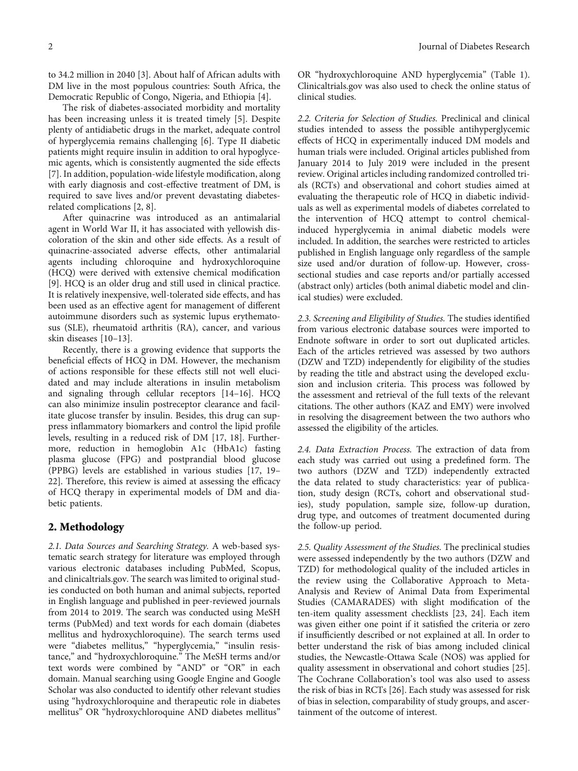to 34.2 million in 2040 [\[3\]](#page-7-0). About half of African adults with DM live in the most populous countries: South Africa, the Democratic Republic of Congo, Nigeria, and Ethiopia [\[4\]](#page-7-0).

The risk of diabetes-associated morbidity and mortality has been increasing unless it is treated timely [[5](#page-7-0)]. Despite plenty of antidiabetic drugs in the market, adequate control of hyperglycemia remains challenging [[6](#page-7-0)]. Type II diabetic patients might require insulin in addition to oral hypoglycemic agents, which is consistently augmented the side effects [\[7](#page-7-0)]. In addition, population-wide lifestyle modification, along with early diagnosis and cost-effective treatment of DM, is required to save lives and/or prevent devastating diabetesrelated complications [[2, 8](#page-7-0)].

After quinacrine was introduced as an antimalarial agent in World War II, it has associated with yellowish discoloration of the skin and other side effects. As a result of quinacrine-associated adverse effects, other antimalarial agents including chloroquine and hydroxychloroquine (HCQ) were derived with extensive chemical modification [\[9](#page-8-0)]. HCQ is an older drug and still used in clinical practice. It is relatively inexpensive, well-tolerated side effects, and has been used as an effective agent for management of different autoimmune disorders such as systemic lupus erythematosus (SLE), rheumatoid arthritis (RA), cancer, and various skin diseases [\[10](#page-8-0)–[13\]](#page-8-0).

Recently, there is a growing evidence that supports the beneficial effects of HCQ in DM. However, the mechanism of actions responsible for these effects still not well elucidated and may include alterations in insulin metabolism and signaling through cellular receptors [\[14](#page-8-0)–[16\]](#page-8-0). HCQ can also minimize insulin postreceptor clearance and facilitate glucose transfer by insulin. Besides, this drug can suppress inflammatory biomarkers and control the lipid profile levels, resulting in a reduced risk of DM [\[17, 18](#page-8-0)]. Furthermore, reduction in hemoglobin A1c (HbA1c) fasting plasma glucose (FPG) and postprandial blood glucose (PPBG) levels are established in various studies [[17](#page-8-0), [19](#page-8-0)– [22\]](#page-8-0). Therefore, this review is aimed at assessing the efficacy of HCQ therapy in experimental models of DM and diabetic patients.

## 2. Methodology

2.1. Data Sources and Searching Strategy. A web-based systematic search strategy for literature was employed through various electronic databases including PubMed, Scopus, and clinicaltrials.gov. The search was limited to original studies conducted on both human and animal subjects, reported in English language and published in peer-reviewed journals from 2014 to 2019. The search was conducted using MeSH terms (PubMed) and text words for each domain (diabetes mellitus and hydroxychloroquine). The search terms used were "diabetes mellitus," "hyperglycemia," "insulin resistance," and "hydroxychloroquine." The MeSH terms and/or text words were combined by "AND" or "OR" in each domain. Manual searching using Google Engine and Google Scholar was also conducted to identify other relevant studies using "hydroxychloroquine and therapeutic role in diabetes mellitus" OR "hydroxychloroquine AND diabetes mellitus"

OR "hydroxychloroquine AND hyperglycemia" (Table [1](#page-2-0)). Clinicaltrials.gov was also used to check the online status of clinical studies.

2.2. Criteria for Selection of Studies. Preclinical and clinical studies intended to assess the possible antihyperglycemic effects of HCQ in experimentally induced DM models and human trials were included. Original articles published from January 2014 to July 2019 were included in the present review. Original articles including randomized controlled trials (RCTs) and observational and cohort studies aimed at evaluating the therapeutic role of HCQ in diabetic individuals as well as experimental models of diabetes correlated to the intervention of HCQ attempt to control chemicalinduced hyperglycemia in animal diabetic models were included. In addition, the searches were restricted to articles published in English language only regardless of the sample size used and/or duration of follow-up. However, crosssectional studies and case reports and/or partially accessed (abstract only) articles (both animal diabetic model and clinical studies) were excluded.

2.3. Screening and Eligibility of Studies. The studies identified from various electronic database sources were imported to Endnote software in order to sort out duplicated articles. Each of the articles retrieved was assessed by two authors (DZW and TZD) independently for eligibility of the studies by reading the title and abstract using the developed exclusion and inclusion criteria. This process was followed by the assessment and retrieval of the full texts of the relevant citations. The other authors (KAZ and EMY) were involved in resolving the disagreement between the two authors who assessed the eligibility of the articles.

2.4. Data Extraction Process. The extraction of data from each study was carried out using a predefined form. The two authors (DZW and TZD) independently extracted the data related to study characteristics: year of publication, study design (RCTs, cohort and observational studies), study population, sample size, follow-up duration, drug type, and outcomes of treatment documented during the follow-up period.

2.5. Quality Assessment of the Studies. The preclinical studies were assessed independently by the two authors (DZW and TZD) for methodological quality of the included articles in the review using the Collaborative Approach to Meta-Analysis and Review of Animal Data from Experimental Studies (CAMARADES) with slight modification of the ten-item quality assessment checklists [[23, 24\]](#page-8-0). Each item was given either one point if it satisfied the criteria or zero if insufficiently described or not explained at all. In order to better understand the risk of bias among included clinical studies, the Newcastle-Ottawa Scale (NOS) was applied for quality assessment in observational and cohort studies [[25](#page-8-0)]. The Cochrane Collaboration's tool was also used to assess the risk of bias in RCTs [[26](#page-8-0)]. Each study was assessed for risk of bias in selection, comparability of study groups, and ascertainment of the outcome of interest.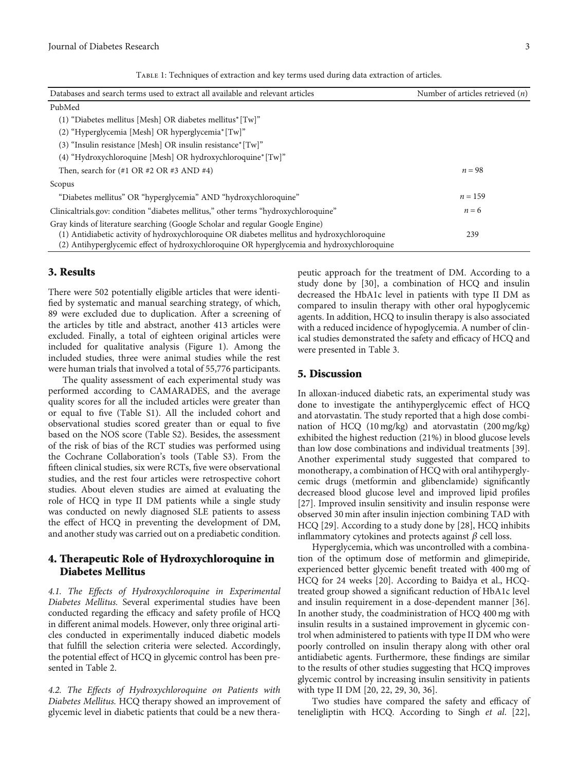<span id="page-2-0"></span>

| Databases and search terms used to extract all available and relevant articles                                                                                                                                                                                             | Number of articles retrieved $(n)$ |
|----------------------------------------------------------------------------------------------------------------------------------------------------------------------------------------------------------------------------------------------------------------------------|------------------------------------|
| PubMed                                                                                                                                                                                                                                                                     |                                    |
| (1) "Diabetes mellitus [Mesh] OR diabetes mellitus" [Tw]"                                                                                                                                                                                                                  |                                    |
| (2) "Hyperglycemia [Mesh] OR hyperglycemia" [Tw]"                                                                                                                                                                                                                          |                                    |
| (3) "Insulin resistance [Mesh] OR insulin resistance" [Tw]"                                                                                                                                                                                                                |                                    |
| (4) "Hydroxychloroquine [Mesh] OR hydroxychloroquine*[Tw]"                                                                                                                                                                                                                 |                                    |
| Then, search for $(\#1 \text{ OR } \#2 \text{ OR } \#3 \text{ AND } \#4)$                                                                                                                                                                                                  | $n = 98$                           |
| Scopus                                                                                                                                                                                                                                                                     |                                    |
| "Diabetes mellitus" OR "hyperglycemia" AND "hydroxychloroquine"                                                                                                                                                                                                            | $n = 159$                          |
| Clinicaltrials.gov: condition "diabetes mellitus," other terms "hydroxychloroquine"                                                                                                                                                                                        | $n = 6$                            |
| Gray kinds of literature searching (Google Scholar and regular Google Engine)<br>(1) Antidiabetic activity of hydroxychloroquine OR diabetes mellitus and hydroxychloroquine<br>(2) Antihyperglycemic effect of hydroxychloroquine OR hyperglycemia and hydroxychloroquine | 239                                |

Table 1: Techniques of extraction and key terms used during data extraction of articles.

### 3. Results

There were 502 potentially eligible articles that were identified by systematic and manual searching strategy, of which, 89 were excluded due to duplication. After a screening of the articles by title and abstract, another 413 articles were excluded. Finally, a total of eighteen original articles were included for qualitative analysis (Figure [1](#page-3-0)). Among the included studies, three were animal studies while the rest were human trials that involved a total of 55,776 participants.

The quality assessment of each experimental study was performed according to CAMARADES, and the average quality scores for all the included articles were greater than or equal to five (Table [S1](#page-7-0)). All the included cohort and observational studies scored greater than or equal to five based on the NOS score (Table [S2\)](#page-7-0). Besides, the assessment of the risk of bias of the RCT studies was performed using the Cochrane Collaboration's tools (Table [S3](#page-7-0)). From the fifteen clinical studies, six were RCTs, five were observational studies, and the rest four articles were retrospective cohort studies. About eleven studies are aimed at evaluating the role of HCQ in type II DM patients while a single study was conducted on newly diagnosed SLE patients to assess the effect of HCQ in preventing the development of DM, and another study was carried out on a prediabetic condition.

## 4. Therapeutic Role of Hydroxychloroquine in Diabetes Mellitus

4.1. The Effects of Hydroxychloroquine in Experimental Diabetes Mellitus. Several experimental studies have been conducted regarding the efficacy and safety profile of HCQ in different animal models. However, only three original articles conducted in experimentally induced diabetic models that fulfill the selection criteria were selected. Accordingly, the potential effect of HCQ in glycemic control has been presented in Table [2.](#page-4-0)

4.2. The Effects of Hydroxychloroquine on Patients with Diabetes Mellitus. HCQ therapy showed an improvement of glycemic level in diabetic patients that could be a new therapeutic approach for the treatment of DM. According to a study done by [\[30\]](#page-8-0), a combination of HCQ and insulin decreased the HbA1c level in patients with type II DM as compared to insulin therapy with other oral hypoglycemic agents. In addition, HCQ to insulin therapy is also associated with a reduced incidence of hypoglycemia. A number of clinical studies demonstrated the safety and efficacy of HCQ and were presented in Table [3](#page-5-0).

#### 5. Discussion

In alloxan-induced diabetic rats, an experimental study was done to investigate the antihyperglycemic effect of HCQ and atorvastatin. The study reported that a high dose combination of HCQ (10 mg/kg) and atorvastatin (200 mg/kg) exhibited the highest reduction (21%) in blood glucose levels than low dose combinations and individual treatments [[39](#page-9-0)]. Another experimental study suggested that compared to monotherapy, a combination of HCQ with oral antihyperglycemic drugs (metformin and glibenclamide) significantly decreased blood glucose level and improved lipid profiles [\[27\]](#page-8-0). Improved insulin sensitivity and insulin response were observed 30 min after insulin injection combining TAD with HCQ [[29](#page-8-0)]. According to a study done by [[28\]](#page-8-0), HCQ inhibits inflammatory cytokines and protects against *β* cell loss.

Hyperglycemia, which was uncontrolled with a combination of the optimum dose of metformin and glimepiride, experienced better glycemic benefit treated with 400 mg of HCQ for 24 weeks [\[20\]](#page-8-0). According to Baidya et al., HCQtreated group showed a significant reduction of HbA1c level and insulin requirement in a dose-dependent manner [[36](#page-9-0)]. In another study, the coadministration of HCQ 400 mg with insulin results in a sustained improvement in glycemic control when administered to patients with type II DM who were poorly controlled on insulin therapy along with other oral antidiabetic agents. Furthermore, these findings are similar to the results of other studies suggesting that HCQ improves glycemic control by increasing insulin sensitivity in patients with type II DM [[20](#page-8-0), [22, 29](#page-8-0), [30,](#page-8-0) [36](#page-9-0)].

Two studies have compared the safety and efficacy of teneligliptin with HCQ. According to Singh et al. [[22](#page-8-0)],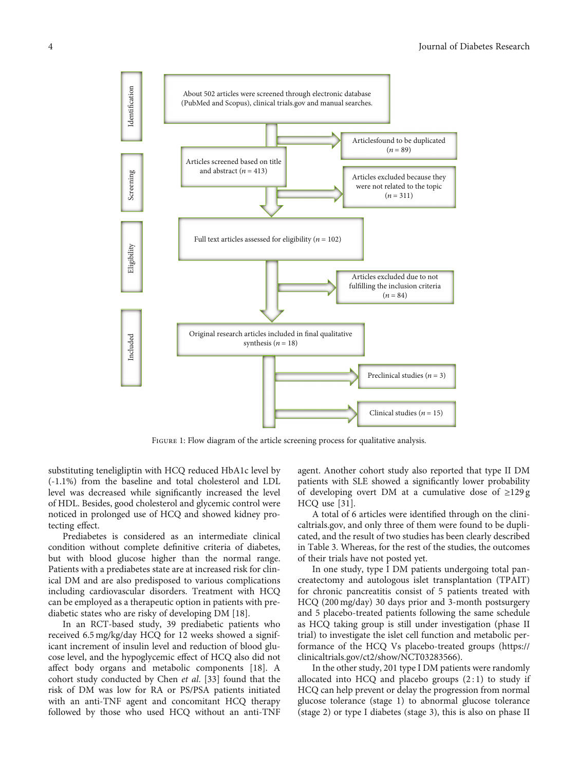<span id="page-3-0"></span>

FIGURE 1: Flow diagram of the article screening process for qualitative analysis.

substituting teneligliptin with HCQ reduced HbA1c level by (-1.1%) from the baseline and total cholesterol and LDL level was decreased while significantly increased the level of HDL. Besides, good cholesterol and glycemic control were noticed in prolonged use of HCQ and showed kidney protecting effect.

Prediabetes is considered as an intermediate clinical condition without complete definitive criteria of diabetes, but with blood glucose higher than the normal range. Patients with a prediabetes state are at increased risk for clinical DM and are also predisposed to various complications including cardiovascular disorders. Treatment with HCQ can be employed as a therapeutic option in patients with prediabetic states who are risky of developing DM [\[18\]](#page-8-0).

In an RCT-based study, 39 prediabetic patients who received 6.5 mg/kg/day HCQ for 12 weeks showed a significant increment of insulin level and reduction of blood glucose level, and the hypoglycemic effect of HCQ also did not affect body organs and metabolic components [[18](#page-8-0)]. A cohort study conducted by Chen et al. [\[33\]](#page-8-0) found that the risk of DM was low for RA or PS/PSA patients initiated with an anti-TNF agent and concomitant HCQ therapy followed by those who used HCQ without an anti-TNF agent. Another cohort study also reported that type II DM patients with SLE showed a significantly lower probability of developing overt DM at a cumulative dose of ≥129 g HCQ use [[31](#page-8-0)].

A total of 6 articles were identified through on the clinicaltrials.gov, and only three of them were found to be duplicated, and the result of two studies has been clearly described in Table [3.](#page-5-0) Whereas, for the rest of the studies, the outcomes of their trials have not posted yet.

In one study, type I DM patients undergoing total pancreatectomy and autologous islet transplantation (TPAIT) for chronic pancreatitis consist of 5 patients treated with HCQ (200 mg/day) 30 days prior and 3-month postsurgery and 5 placebo-treated patients following the same schedule as HCQ taking group is still under investigation (phase II trial) to investigate the islet cell function and metabolic performance of the HCQ Vs placebo-treated groups [\(https://](https://clinicaltrials.gov/ct2/show/NCT03283566) [clinicaltrials.gov/ct2/show/NCT03283566](https://clinicaltrials.gov/ct2/show/NCT03283566)).

In the other study, 201 type I DM patients were randomly allocated into HCQ and placebo groups  $(2:1)$  to study if HCQ can help prevent or delay the progression from normal glucose tolerance (stage 1) to abnormal glucose tolerance (stage 2) or type I diabetes (stage 3), this is also on phase II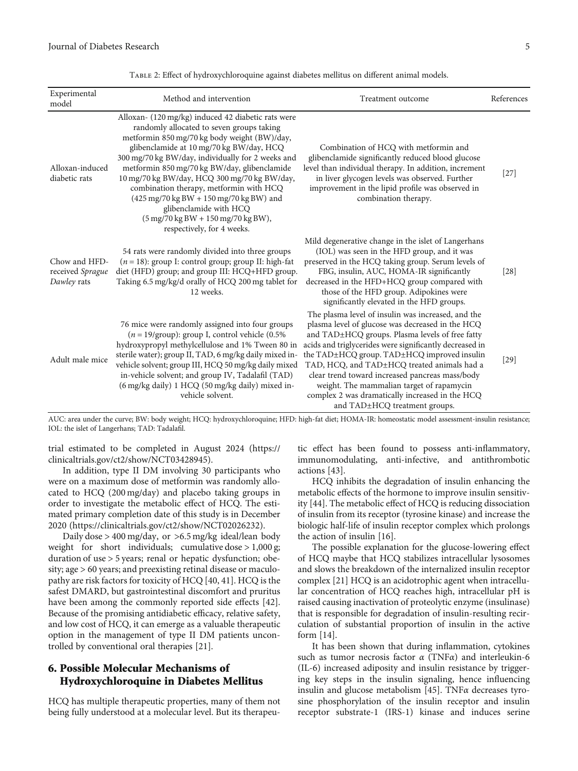<span id="page-4-0"></span>

| Experimental<br>model                            | Method and intervention                                                                                                                                                                                                                                                                                                                                                                                                                                                                                                              | Treatment outcome                                                                                                                                                                                                                                                                                                                                                                                                                                                                                      | References        |
|--------------------------------------------------|--------------------------------------------------------------------------------------------------------------------------------------------------------------------------------------------------------------------------------------------------------------------------------------------------------------------------------------------------------------------------------------------------------------------------------------------------------------------------------------------------------------------------------------|--------------------------------------------------------------------------------------------------------------------------------------------------------------------------------------------------------------------------------------------------------------------------------------------------------------------------------------------------------------------------------------------------------------------------------------------------------------------------------------------------------|-------------------|
| Alloxan-induced<br>diabetic rats                 | Alloxan- (120 mg/kg) induced 42 diabetic rats were<br>randomly allocated to seven groups taking<br>metformin 850 mg/70 kg body weight (BW)/day,<br>glibenclamide at 10 mg/70 kg BW/day, HCQ<br>300 mg/70 kg BW/day, individually for 2 weeks and<br>metformin 850 mg/70 kg BW/day, glibenclamide<br>10 mg/70 kg BW/day, HCQ 300 mg/70 kg BW/day,<br>combination therapy, metformin with HCQ<br>(425 mg/70 kg BW + 150 mg/70 kg BW) and<br>glibenclamide with HCQ<br>(5 mg/70 kg BW + 150 mg/70 kg BW),<br>respectively, for 4 weeks. | Combination of HCQ with metformin and<br>glibenclamide significantly reduced blood glucose<br>level than individual therapy. In addition, increment<br>in liver glycogen levels was observed. Further<br>improvement in the lipid profile was observed in<br>combination therapy.                                                                                                                                                                                                                      | $[27]$            |
| Chow and HFD-<br>received Sprague<br>Dawley rats | 54 rats were randomly divided into three groups<br>$(n = 18)$ : group I: control group; group II: high-fat<br>diet (HFD) group; and group III: HCQ+HFD group.<br>Taking 6.5 mg/kg/d orally of HCQ 200 mg tablet for<br>12 weeks.                                                                                                                                                                                                                                                                                                     | Mild degenerative change in the islet of Langerhans<br>(IOL) was seen in the HFD group, and it was<br>preserved in the HCQ taking group. Serum levels of<br>FBG, insulin, AUC, HOMA-IR significantly<br>decreased in the HFD+HCQ group compared with<br>those of the HFD group. Adipokines were<br>significantly elevated in the HFD groups.                                                                                                                                                           | $\left[28\right]$ |
| Adult male mice                                  | 76 mice were randomly assigned into four groups<br>$(n = 19$ /group): group I, control vehicle (0.5%<br>hydroxypropyl methylcellulose and 1% Tween 80 in<br>sterile water); group II, TAD, 6 mg/kg daily mixed in-<br>vehicle solvent; group III, HCQ 50 mg/kg daily mixed<br>in-vehicle solvent; and group IV, Tadalafil (TAD)<br>(6 mg/kg daily) 1 HCQ (50 mg/kg daily) mixed in-<br>vehicle solvent.                                                                                                                              | The plasma level of insulin was increased, and the<br>plasma level of glucose was decreased in the HCQ<br>and TAD±HCQ groups. Plasma levels of free fatty<br>acids and triglycerides were significantly decreased in<br>the TAD±HCQ group. TAD±HCQ improved insulin<br>TAD, HCQ, and TAD±HCQ treated animals had a<br>clear trend toward increased pancreas mass/body<br>weight. The mammalian target of rapamycin<br>complex 2 was dramatically increased in the HCQ<br>and TAD±HCQ treatment groups. | $[29]$            |

Table 2: Effect of hydroxychloroquine against diabetes mellitus on different animal models.

AUC: area under the curve; BW: body weight; HCQ: hydroxychloroquine; HFD: high-fat diet; HOMA-IR: homeostatic model assessment-insulin resistance; IOL: the islet of Langerhans; TAD: Tadalafil.

trial estimated to be completed in August 2024 [\(https://](https://clinicaltrials.gov/ct2/show/NCT03428945) [clinicaltrials.gov/ct2/show/NCT03428945](https://clinicaltrials.gov/ct2/show/NCT03428945)).

In addition, type II DM involving 30 participants who were on a maximum dose of metformin was randomly allocated to HCQ (200 mg/day) and placebo taking groups in order to investigate the metabolic effect of HCQ. The estimated primary completion date of this study is in December 2020 [\(https://clinicaltrials.gov/ct2/show/NCT02026232\)](https://clinicaltrials.gov/ct2/show/NCT02026232).

Daily dose > 400 mg/day, or >6.5 mg/kg ideal/lean body weight for short individuals; cumulative dose  $> 1,000$  g; duration of use > 5 years; renal or hepatic dysfunction; obesity; age > 60 years; and preexisting retinal disease or maculopathy are risk factors for toxicity of HCQ [[40, 41](#page-9-0)]. HCQ is the safest DMARD, but gastrointestinal discomfort and pruritus have been among the commonly reported side effects [[42](#page-9-0)]. Because of the promising antidiabetic efficacy, relative safety, and low cost of HCQ, it can emerge as a valuable therapeutic option in the management of type II DM patients uncontrolled by conventional oral therapies [\[21\]](#page-8-0).

## 6. Possible Molecular Mechanisms of Hydroxychloroquine in Diabetes Mellitus

HCQ has multiple therapeutic properties, many of them not being fully understood at a molecular level. But its therapeu-

tic effect has been found to possess anti-inflammatory, immunomodulating, anti-infective, and antithrombotic actions [\[43\]](#page-9-0).

HCQ inhibits the degradation of insulin enhancing the metabolic effects of the hormone to improve insulin sensitivity [[44](#page-9-0)]. The metabolic effect of HCQ is reducing dissociation of insulin from its receptor (tyrosine kinase) and increase the biologic half-life of insulin receptor complex which prolongs the action of insulin [[16](#page-8-0)].

The possible explanation for the glucose-lowering effect of HCQ maybe that HCQ stabilizes intracellular lysosomes and slows the breakdown of the internalized insulin receptor complex [[21](#page-8-0)] HCQ is an acidotrophic agent when intracellular concentration of HCQ reaches high, intracellular pH is raised causing inactivation of proteolytic enzyme (insulinase) that is responsible for degradation of insulin-resulting recirculation of substantial proportion of insulin in the active form [[14](#page-8-0)].

It has been shown that during inflammation, cytokines such as tumor necrosis factor *α* (TNF*α*) and interleukin-6 (IL-6) increased adiposity and insulin resistance by triggering key steps in the insulin signaling, hence influencing insulin and glucose metabolism [[45](#page-9-0)]. TNF*α* decreases tyrosine phosphorylation of the insulin receptor and insulin receptor substrate-1 (IRS-1) kinase and induces serine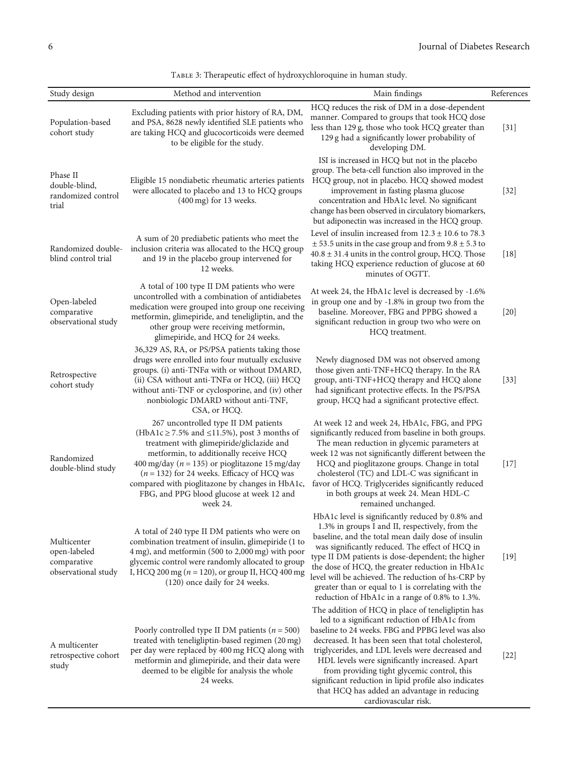[[31](#page-8-0)]

[[32](#page-8-0)]

[[18](#page-8-0)]

[[20](#page-8-0)]

[[33](#page-8-0)]

[[17](#page-8-0)]

[[19](#page-8-0)]

HCQ reduces the risk of DM in a dose-dependent

| Population-based<br>cohort study                         | Excluding patients with prior history of RA, DM,<br>and PSA, 8628 newly identified SLE patients who<br>are taking HCQ and glucocorticoids were deemed<br>to be eligible for the study.                                                                                                                                                                                                                   | manner. Compared to groups that took HCQ dose<br>less than 129 g, those who took HCQ greater than<br>129 g had a significantly lower probability of<br>developing DM.                                                                                                                                                                                                                                                           |
|----------------------------------------------------------|----------------------------------------------------------------------------------------------------------------------------------------------------------------------------------------------------------------------------------------------------------------------------------------------------------------------------------------------------------------------------------------------------------|---------------------------------------------------------------------------------------------------------------------------------------------------------------------------------------------------------------------------------------------------------------------------------------------------------------------------------------------------------------------------------------------------------------------------------|
| Phase II<br>double-blind,<br>randomized control<br>trial | Eligible 15 nondiabetic rheumatic arteries patients<br>were allocated to placebo and 13 to HCQ groups<br>$(400 \,\mathrm{mg})$ for 13 weeks.                                                                                                                                                                                                                                                             | ISI is increased in HCQ but not in the placebo<br>group. The beta-cell function also improved in the<br>HCQ group, not in placebo. HCQ showed modest<br>improvement in fasting plasma glucose<br>concentration and HbA1c level. No significant<br>change has been observed in circulatory biomarkers,<br>but adiponectin was increased in the HCQ group.                                                                        |
| Randomized double-<br>blind control trial                | A sum of 20 prediabetic patients who meet the<br>inclusion criteria was allocated to the HCQ group<br>and 19 in the placebo group intervened for<br>12 weeks.                                                                                                                                                                                                                                            | Level of insulin increased from $12.3 \pm 10.6$ to 78.3<br>$\pm$ 53.5 units in the case group and from 9.8 $\pm$ 5.3 to<br>$40.8 \pm 31.4$ units in the control group, HCQ. Those<br>taking HCQ experience reduction of glucose at 60<br>minutes of OGTT.                                                                                                                                                                       |
| Open-labeled<br>comparative<br>observational study       | A total of 100 type II DM patients who were<br>uncontrolled with a combination of antidiabetes<br>medication were grouped into group one receiving<br>metformin, glimepiride, and teneligliptin, and the<br>other group were receiving metformin,<br>glimepiride, and HCQ for 24 weeks.                                                                                                                  | At week 24, the HbA1c level is decreased by -1.6%<br>in group one and by -1.8% in group two from the<br>baseline. Moreover, FBG and PPBG showed a<br>significant reduction in group two who were on<br>HCQ treatment.                                                                                                                                                                                                           |
| Retrospective<br>cohort study                            | 36,329 AS, RA, or PS/PSA patients taking those<br>drugs were enrolled into four mutually exclusive<br>groups. (i) anti-TNF $\alpha$ with or without DMARD,<br>(ii) CSA without anti-TNF $\alpha$ or HCQ, (iii) HCQ<br>without anti-TNF or cyclosporine, and (iv) other<br>nonbiologic DMARD without anti-TNF,<br>CSA, or HCQ.                                                                            | Newly diagnosed DM was not observed among<br>those given anti-TNF+HCQ therapy. In the RA<br>group, anti-TNF+HCQ therapy and HCQ alone<br>had significant protective effects. In the PS/PSA<br>group, HCQ had a significant protective effect.                                                                                                                                                                                   |
| Randomized<br>double-blind study                         | 267 uncontrolled type II DM patients<br>(HbA1c $\geq$ 7.5% and $\leq$ 11.5%), post 3 months of<br>treatment with glimepiride/gliclazide and<br>metformin, to additionally receive HCQ<br>400 mg/day ( $n = 135$ ) or pioglitazone 15 mg/day<br>$(n = 132)$ for 24 weeks. Efficacy of HCQ was<br>compared with pioglitazone by changes in HbA1c,<br>FBG, and PPG blood glucose at week 12 and<br>week 24. | At week 12 and week 24, HbA1c, FBG, and PPG<br>significantly reduced from baseline in both groups.<br>The mean reduction in glycemic parameters at<br>week 12 was not significantly different between the<br>HCQ and pioglitazone groups. Change in total<br>cholesterol (TC) and LDL-C was significant in<br>favor of HCQ. Triglycerides significantly reduced<br>in both groups at week 24. Mean HDL-C<br>remained unchanged. |
| Multicenter<br>open-labeled<br>comparative               | A total of 240 type II DM patients who were on<br>combination treatment of insulin, glimepiride (1 to<br>4 mg), and metformin (500 to 2,000 mg) with poor<br>glycemic control were randomly allocated to group                                                                                                                                                                                           | HbA1c level is significantly reduced by 0.8% and<br>1.3% in groups I and II, respectively, from the<br>baseline, and the total mean daily dose of insulin<br>was significantly reduced. The effect of HCQ in<br>type II DM patients is dose-dependent; the higher<br>$1 \quad 1 \quad 0 \quad 0 \quad 0 \quad 1 \quad 1 \quad 1 \quad 0 \quad 1 \quad 1$                                                                        |

<span id="page-5-0"></span>Table 3: Therapeutic effect of hydroxychloroquine in human study. Study design **Study design Method and intervention** Main findings References

Excluding patients with prior history of RA, DM,

A multicenter retrospective cohort study

Poorly controlled type II DM patients (*n* = 500) treated with teneligliptin-based regimen (20 mg) per day were replaced by 400 mg HCQ along with metformin and glimepiride, and their data were

I, HCQ 200 mg (*n* = 120), or group II, HCQ 400 mg (120) once daily for 24 weeks.

deemed to be eligible for analysis the whole 24 weeks.

reduction of HbA1c in a range of 0.8% to 1.3%. The addition of HCQ in place of teneligliptin has led to a significant reduction of HbA1c from baseline to 24 weeks. FBG and PPBG level was also decreased. It has been seen that total cholesterol, triglycerides, and LDL levels were decreased and HDL levels were significantly increased. Apart from providing tight glycemic control, this

the dose of HCQ, the greater reduction in HbA1c level will be achieved. The reduction of hs-CRP by greater than or equal to 1 is correlating with the

significant reduction in lipid profile also indicates that HCQ has added an advantage in reducing cardiovascular risk.

[[22](#page-8-0)]

Multicenter open-labeled comparative observational study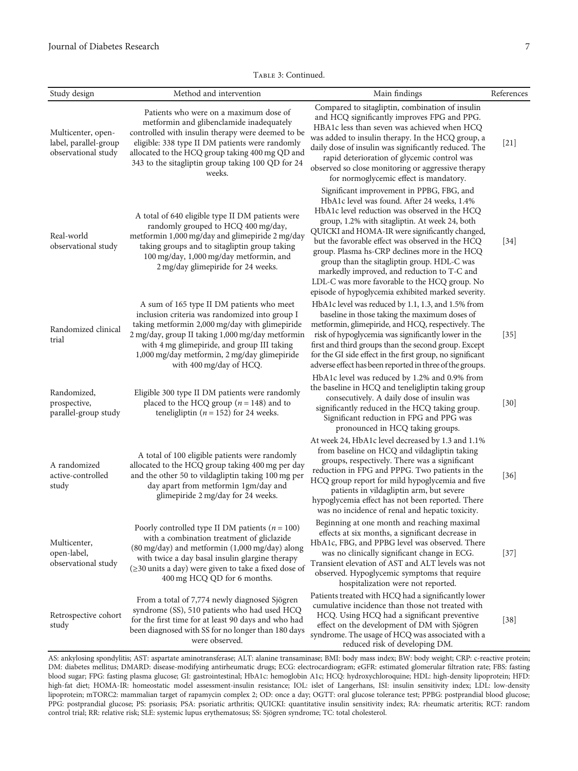| Method and intervention                                            |                                                                                                                                                                                                                                                                                                                             |                                                                                                                                                                                                                                                                                                                                                                                                                                                                                                                                                         |            |  |
|--------------------------------------------------------------------|-----------------------------------------------------------------------------------------------------------------------------------------------------------------------------------------------------------------------------------------------------------------------------------------------------------------------------|---------------------------------------------------------------------------------------------------------------------------------------------------------------------------------------------------------------------------------------------------------------------------------------------------------------------------------------------------------------------------------------------------------------------------------------------------------------------------------------------------------------------------------------------------------|------------|--|
| Study design                                                       |                                                                                                                                                                                                                                                                                                                             | Main findings<br>Compared to sitagliptin, combination of insulin                                                                                                                                                                                                                                                                                                                                                                                                                                                                                        | References |  |
| Multicenter, open-<br>label, parallel-group<br>observational study | Patients who were on a maximum dose of<br>metformin and glibenclamide inadequately<br>controlled with insulin therapy were deemed to be<br>eligible: 338 type II DM patients were randomly<br>allocated to the HCQ group taking 400 mg QD and<br>343 to the sitagliptin group taking 100 QD for 24<br>weeks.                | and HCQ significantly improves FPG and PPG.<br>HBA1c less than seven was achieved when HCQ<br>was added to insulin therapy. In the HCQ group, a<br>daily dose of insulin was significantly reduced. The<br>rapid deterioration of glycemic control was<br>observed so close monitoring or aggressive therapy<br>for normoglycemic effect is mandatory.                                                                                                                                                                                                  | $[21]$     |  |
| Real-world<br>observational study                                  | A total of 640 eligible type II DM patients were<br>randomly grouped to HCQ 400 mg/day,<br>metformin 1,000 mg/day and glimepiride 2 mg/day<br>taking groups and to sitagliptin group taking<br>100 mg/day, 1,000 mg/day metformin, and<br>2 mg/day glimepiride for 24 weeks.                                                | Significant improvement in PPBG, FBG, and<br>HbA1c level was found. After 24 weeks, 1.4%<br>HbA1c level reduction was observed in the HCQ<br>group, 1.2% with sitagliptin. At week 24, both<br>QUICKI and HOMA-IR were significantly changed,<br>but the favorable effect was observed in the HCQ<br>group. Plasma hs-CRP declines more in the HCQ<br>group than the sitagliptin group. HDL-C was<br>markedly improved, and reduction to T-C and<br>LDL-C was more favorable to the HCQ group. No<br>episode of hypoglycemia exhibited marked severity. | $[34]$     |  |
| Randomized clinical<br>trial                                       | A sum of 165 type II DM patients who meet<br>inclusion criteria was randomized into group I<br>taking metformin 2,000 mg/day with glimepiride<br>2 mg/day, group II taking 1,000 mg/day metformin<br>with 4 mg glimepiride, and group III taking<br>1,000 mg/day metformin, 2 mg/day glimepiride<br>with 400 mg/day of HCQ. | HbA1c level was reduced by 1.1, 1.3, and 1.5% from<br>baseline in those taking the maximum doses of<br>metformin, glimepiride, and HCQ, respectively. The<br>risk of hypoglycemia was significantly lower in the<br>first and third groups than the second group. Except<br>for the GI side effect in the first group, no significant<br>adverse effect has been reported in three of the groups.                                                                                                                                                       | $[35]$     |  |
| Randomized,<br>prospective,<br>parallel-group study                | Eligible 300 type II DM patients were randomly<br>placed to the HCQ group ( $n = 148$ ) and to<br>teneligliptin ( $n = 152$ ) for 24 weeks.                                                                                                                                                                                 | HbA1c level was reduced by 1.2% and 0.9% from<br>the baseline in HCQ and teneligliptin taking group<br>consecutively. A daily dose of insulin was<br>significantly reduced in the HCQ taking group.<br>Significant reduction in FPG and PPG was<br>pronounced in HCQ taking groups.                                                                                                                                                                                                                                                                     | $[30]$     |  |
| A randomized<br>active-controlled<br>study                         | A total of 100 eligible patients were randomly<br>allocated to the HCQ group taking 400 mg per day<br>and the other 50 to vildagliptin taking 100 mg per<br>day apart from metformin 1gm/day and<br>glimepiride 2 mg/day for 24 weeks.                                                                                      | At week 24, HbA1c level decreased by 1.3 and 1.1%<br>from baseline on HCQ and vildagliptin taking<br>groups, respectively. There was a significant<br>reduction in FPG and PPPG. Two patients in the<br>HCQ group report for mild hypoglycemia and five<br>patients in vildagliptin arm, but severe<br>hypoglycemia effect has not been reported. There<br>was no incidence of renal and hepatic toxicity.                                                                                                                                              | 36         |  |
| Multicenter,<br>open-label,<br>observational study                 | Poorly controlled type II DM patients ( $n = 100$ )<br>with a combination treatment of gliclazide<br>(80 mg/day) and metformin (1,000 mg/day) along<br>with twice a day basal insulin glargine therapy<br>$(\geq 30 \text{ units a day})$ were given to take a fixed dose of<br>400 mg HCQ QD for 6 months.                 | Beginning at one month and reaching maximal<br>effects at six months, a significant decrease in<br>HbA1c, FBG, and PPBG level was observed. There<br>was no clinically significant change in ECG.<br>Transient elevation of AST and ALT levels was not<br>observed. Hypoglycemic symptoms that require<br>hospitalization were not reported.                                                                                                                                                                                                            | $[37]$     |  |
| Retrospective cohort<br>study                                      | From a total of 7,774 newly diagnosed Sjögren<br>syndrome (SS), 510 patients who had used HCQ<br>for the first time for at least 90 days and who had<br>been diagnosed with SS for no longer than 180 days<br>were observed.                                                                                                | Patients treated with HCQ had a significantly lower<br>cumulative incidence than those not treated with<br>HCQ. Using HCQ had a significant preventive<br>effect on the development of DM with Sjögren<br>syndrome. The usage of HCQ was associated with a<br>reduced risk of developing DM.                                                                                                                                                                                                                                                            | $[38]$     |  |

Table 3: Continued.

AS: ankylosing spondylitis; AST: aspartate aminotransferase; ALT: alanine transaminase; BMI: body mass index; BW: body weight; CRP: c-reactive protein; DM: diabetes mellitus; DMARD: disease-modifying antirheumatic drugs; ECG: electrocardiogram; eGFR: estimated glomerular filtration rate; FBS: fasting blood sugar; FPG: fasting plasma glucose; GI: gastrointestinal; HbA1c: hemoglobin A1c; HCQ: hydroxychloroquine; HDL: high-density lipoprotein; HFD: high-fat diet; HOMA-IR: homeostatic model assessment-insulin resistance; IOL: islet of Langerhans, ISI: insulin sensitivity index; LDL: low-density lipoprotein; mTORC2: mammalian target of rapamycin complex 2; OD: once a day; OGTT: oral glucose tolerance test; PPBG: postprandial blood glucose; PPG: postprandial glucose; PS: psoriasis; PSA: psoriatic arthritis; QUICKI: quantitative insulin sensitivity index; RA: rheumatic arteritis; RCT: random control trial; RR: relative risk; SLE: systemic lupus erythematosus; SS: Sjögren syndrome; TC: total cholesterol.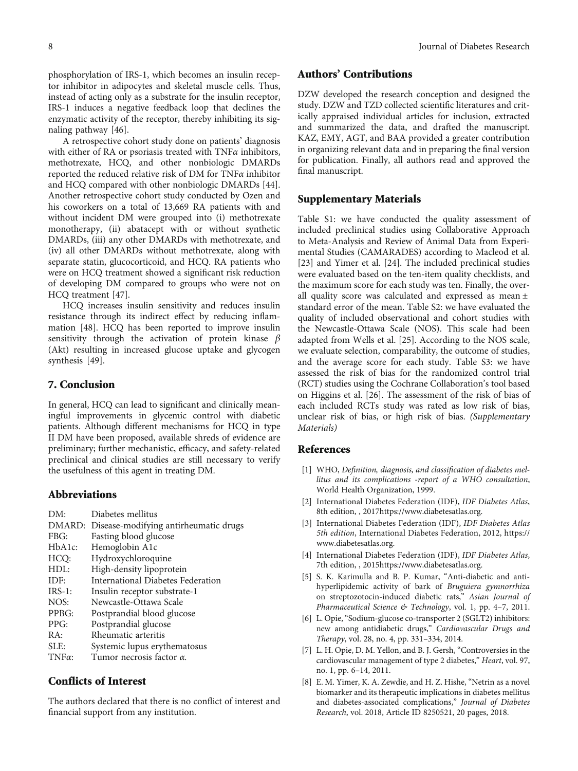<span id="page-7-0"></span>phosphorylation of IRS-1, which becomes an insulin receptor inhibitor in adipocytes and skeletal muscle cells. Thus, instead of acting only as a substrate for the insulin receptor, IRS-1 induces a negative feedback loop that declines the enzymatic activity of the receptor, thereby inhibiting its signaling pathway [[46](#page-9-0)].

A retrospective cohort study done on patients' diagnosis with either of RA or psoriasis treated with TNF*α* inhibitors, methotrexate, HCQ, and other nonbiologic DMARDs reported the reduced relative risk of DM for TNF*α* inhibitor and HCQ compared with other nonbiologic DMARDs [[44](#page-9-0)]. Another retrospective cohort study conducted by Ozen and his coworkers on a total of 13,669 RA patients with and without incident DM were grouped into (i) methotrexate monotherapy, (ii) abatacept with or without synthetic DMARDs, (iii) any other DMARDs with methotrexate, and (iv) all other DMARDs without methotrexate, along with separate statin, glucocorticoid, and HCQ. RA patients who were on HCQ treatment showed a significant risk reduction of developing DM compared to groups who were not on HCQ treatment [[47](#page-9-0)].

HCQ increases insulin sensitivity and reduces insulin resistance through its indirect effect by reducing inflammation [[48](#page-9-0)]. HCQ has been reported to improve insulin sensitivity through the activation of protein kinase *β* (Akt) resulting in increased glucose uptake and glycogen synthesis [[49](#page-9-0)].

## 7. Conclusion

In general, HCQ can lead to significant and clinically meaningful improvements in glycemic control with diabetic patients. Although different mechanisms for HCQ in type II DM have been proposed, available shreds of evidence are preliminary; further mechanistic, efficacy, and safety-related preclinical and clinical studies are still necessary to verify the usefulness of this agent in treating DM.

## Abbreviations

| Diabetes mellitus                     |
|---------------------------------------|
| Disease-modifying antirheumatic drugs |
| Fasting blood glucose                 |
| Hemoglobin A1c                        |
| Hydroxychloroquine                    |
| High-density lipoprotein              |
| International Diabetes Federation     |
| Insulin receptor substrate-1          |
| Newcastle-Ottawa Scale                |
| Postprandial blood glucose            |
| Postprandial glucose                  |
| Rheumatic arteritis                   |
| Systemic lupus erythematosus          |
| Tumor necrosis factor $\alpha$ .      |
|                                       |

### Conflicts of Interest

The authors declared that there is no conflict of interest and financial support from any institution.

## Authors' Contributions

DZW developed the research conception and designed the study. DZW and TZD collected scientific literatures and critically appraised individual articles for inclusion, extracted and summarized the data, and drafted the manuscript. KAZ, EMY, AGT, and BAA provided a greater contribution in organizing relevant data and in preparing the final version for publication. Finally, all authors read and approved the final manuscript.

#### Supplementary Materials

Table S1: we have conducted the quality assessment of included preclinical studies using Collaborative Approach to Meta-Analysis and Review of Animal Data from Experimental Studies (CAMARADES) according to Macleod et al. [\[23\]](#page-8-0) and Yimer et al. [\[24\]](#page-8-0). The included preclinical studies were evaluated based on the ten-item quality checklists, and the maximum score for each study was ten. Finally, the overall quality score was calculated and expressed as mean ± standard error of the mean. Table S2: we have evaluated the quality of included observational and cohort studies with the Newcastle-Ottawa Scale (NOS). This scale had been adapted from Wells et al. [\[25\]](#page-8-0). According to the NOS scale, we evaluate selection, comparability, the outcome of studies, and the average score for each study. Table S3: we have assessed the risk of bias for the randomized control trial (RCT) studies using the Cochrane Collaboration's tool based on Higgins et al. [[26\]](#page-8-0). The assessment of the risk of bias of each included RCTs study was rated as low risk of bias, unclear risk of bias, or high risk of bias. [\(Supplementary](http://downloads.hindawi.com/journals/jdr/2020/5214751.f1.pdf) [Materials\)](http://downloads.hindawi.com/journals/jdr/2020/5214751.f1.pdf)

#### References

- [1] WHO, Definition, diagnosis, and classification of diabetes mellitus and its complications -report of a WHO consultation, World Health Organization, 1999.
- [2] International Diabetes Federation (IDF), IDF Diabetes Atlas, 8th edition, , 2017[https://www.diabetesatlas.org.](https://www.diabetesatlas.org)
- [3] International Diabetes Federation (IDF), IDF Diabetes Atlas 5th edition, International Diabetes Federation, 2012, [https://](https://www.diabetesatlas.org) [www.diabetesatlas.org.](https://www.diabetesatlas.org)
- [4] International Diabetes Federation (IDF), IDF Diabetes Atlas, 7th edition, , 2015<https://www.diabetesatlas.org>.
- [5] S. K. Karimulla and B. P. Kumar, "Anti-diabetic and antihyperlipidemic activity of bark of Bruguiera gymnorrhiza on streptozotocin-induced diabetic rats," Asian Journal of Pharmaceutical Science & Technology, vol. 1, pp. 4–7, 2011.
- [6] L. Opie,"Sodium-glucose co-transporter 2 (SGLT2) inhibitors: new among antidiabetic drugs," Cardiovascular Drugs and Therapy, vol. 28, no. 4, pp. 331–334, 2014.
- [7] L. H. Opie, D. M. Yellon, and B. J. Gersh, "Controversies in the cardiovascular management of type 2 diabetes," Heart, vol. 97, no. 1, pp. 6–14, 2011.
- [8] E. M. Yimer, K. A. Zewdie, and H. Z. Hishe, "Netrin as a novel biomarker and its therapeutic implications in diabetes mellitus and diabetes-associated complications," Journal of Diabetes Research, vol. 2018, Article ID 8250521, 20 pages, 2018.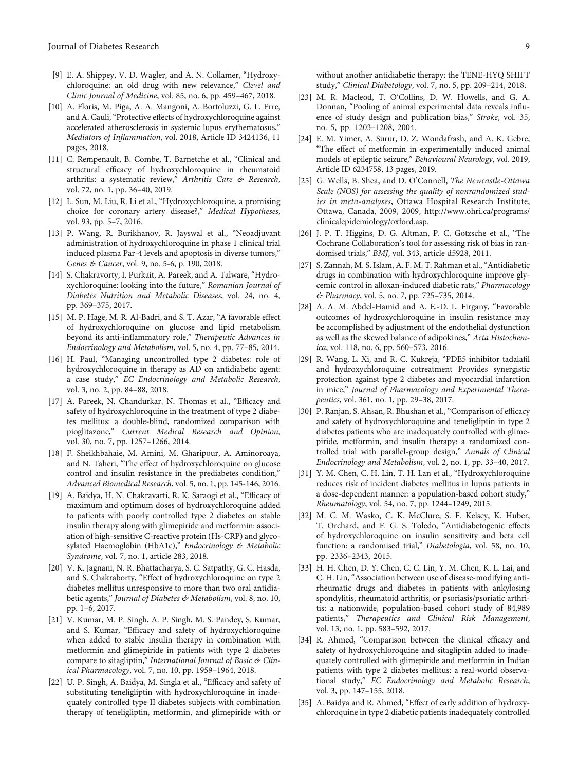- <span id="page-8-0"></span>[9] E. A. Shippey, V. D. Wagler, and A. N. Collamer, "Hydroxychloroquine: an old drug with new relevance," Clevel and Clinic Journal of Medicine, vol. 85, no. 6, pp. 459–467, 2018.
- [10] A. Floris, M. Piga, A. A. Mangoni, A. Bortoluzzi, G. L. Erre, and A. Cauli,"Protective effects of hydroxychloroquine against accelerated atherosclerosis in systemic lupus erythematosus," Mediators of Inflammation, vol. 2018, Article ID 3424136, 11 pages, 2018.
- [11] C. Rempenault, B. Combe, T. Barnetche et al., "Clinical and structural efficacy of hydroxychloroquine in rheumatoid arthritis: a systematic review," Arthritis Care & Research, vol. 72, no. 1, pp. 36–40, 2019.
- [12] L. Sun, M. Liu, R. Li et al., "Hydroxychloroquine, a promising choice for coronary artery disease?," Medical Hypotheses, vol. 93, pp. 5–7, 2016.
- [13] P. Wang, R. Burikhanov, R. Jayswal et al., "Neoadjuvant administration of hydroxychloroquine in phase 1 clinical trial induced plasma Par-4 levels and apoptosis in diverse tumors," Genes & Cancer, vol. 9, no. 5-6, p. 190, 2018.
- [14] S. Chakravorty, I. Purkait, A. Pareek, and A. Talware, "Hydroxychloroquine: looking into the future," Romanian Journal of Diabetes Nutrition and Metabolic Diseases, vol. 24, no. 4, pp. 369–375, 2017.
- [15] M. P. Hage, M. R. Al-Badri, and S. T. Azar, "A favorable effect of hydroxychloroquine on glucose and lipid metabolism beyond its anti-inflammatory role," Therapeutic Advances in Endocrinology and Metabolism, vol. 5, no. 4, pp. 77–85, 2014.
- [16] H. Paul, "Managing uncontrolled type 2 diabetes: role of hydroxychloroquine in therapy as AD on antidiabetic agent: a case study," EC Endocrinology and Metabolic Research, vol. 3, no. 2, pp. 84–88, 2018.
- [17] A. Pareek, N. Chandurkar, N. Thomas et al., "Efficacy and safety of hydroxychloroquine in the treatment of type 2 diabetes mellitus: a double-blind, randomized comparison with pioglitazone," Current Medical Research and Opinion, vol. 30, no. 7, pp. 1257–1266, 2014.
- [18] F. Sheikhbahaie, M. Amini, M. Gharipour, A. Aminoroaya, and N. Taheri, "The effect of hydroxychloroquine on glucose control and insulin resistance in the prediabetes condition," Advanced Biomedical Research, vol. 5, no. 1, pp. 145-146, 2016.
- [19] A. Baidya, H. N. Chakravarti, R. K. Saraogi et al., "Efficacy of maximum and optimum doses of hydroxychloroquine added to patients with poorly controlled type 2 diabetes on stable insulin therapy along with glimepiride and metformin: association of high-sensitive C-reactive protein (Hs-CRP) and glycosylated Haemoglobin (HbA1c)," Endocrinology & Metabolic Syndrome, vol. 7, no. 1, article 283, 2018.
- [20] V. K. Jagnani, N. R. Bhattacharya, S. C. Satpathy, G. C. Hasda, and S. Chakraborty, "Effect of hydroxychloroquine on type 2 diabetes mellitus unresponsive to more than two oral antidiabetic agents," Journal of Diabetes & Metabolism, vol. 8, no. 10, pp. 1–6, 2017.
- [21] V. Kumar, M. P. Singh, A. P. Singh, M. S. Pandey, S. Kumar, and S. Kumar, "Efficacy and safety of hydroxychloroquine when added to stable insulin therapy in combination with metformin and glimepiride in patients with type 2 diabetes compare to sitagliptin," International Journal of Basic & Clinical Pharmacology, vol. 7, no. 10, pp. 1959–1964, 2018.
- [22] U. P. Singh, A. Baidya, M. Singla et al., "Efficacy and safety of substituting teneligliptin with hydroxychloroquine in inadequately controlled type II diabetes subjects with combination therapy of teneligliptin, metformin, and glimepiride with or

without another antidiabetic therapy: the TENE-HYQ SHIFT study," Clinical Diabetology, vol. 7, no. 5, pp. 209–214, 2018.

- [23] M. R. Macleod, T. O'Collins, D. W. Howells, and G. A. Donnan, "Pooling of animal experimental data reveals influence of study design and publication bias," Stroke, vol. 35, no. 5, pp. 1203–1208, 2004.
- [24] E. M. Yimer, A. Surur, D. Z. Wondafrash, and A. K. Gebre, "The effect of metformin in experimentally induced animal models of epileptic seizure," Behavioural Neurology, vol. 2019, Article ID 6234758, 13 pages, 2019.
- [25] G. Wells, B. Shea, and D. O'Connell, The Newcastle-Ottawa Scale (NOS) for assessing the quality of nonrandomized studies in meta-analyses, Ottawa Hospital Research Institute, Ottawa, Canada, 2009, 2009, [http://www.ohri.ca/programs/](http://www.ohri.ca/programs/clinicalepidemiology/oxford.asp) [clinicalepidemiology/oxford.asp](http://www.ohri.ca/programs/clinicalepidemiology/oxford.asp).
- [26] J. P. T. Higgins, D. G. Altman, P. C. Gotzsche et al., "The Cochrane Collaboration's tool for assessing risk of bias in randomised trials," BMJ, vol. 343, article d5928, 2011.
- [27] S. Zannah, M. S. Islam, A. F. M. T. Rahman et al.,"Antidiabetic drugs in combination with hydroxychloroquine improve glycemic control in alloxan-induced diabetic rats," Pharmacology & Pharmacy, vol. 5, no. 7, pp. 725–735, 2014.
- [28] A. A. M. Abdel-Hamid and A. E.-D. L. Firgany, "Favorable outcomes of hydroxychloroquine in insulin resistance may be accomplished by adjustment of the endothelial dysfunction as well as the skewed balance of adipokines," Acta Histochemica, vol. 118, no. 6, pp. 560–573, 2016.
- [29] R. Wang, L. Xi, and R. C. Kukreja, "PDE5 inhibitor tadalafil and hydroxychloroquine cotreatment Provides synergistic protection against type 2 diabetes and myocardial infarction in mice," Journal of Pharmacology and Experimental Therapeutics, vol. 361, no. 1, pp. 29–38, 2017.
- [30] P. Ranjan, S. Ahsan, R. Bhushan et al., "Comparison of efficacy and safety of hydroxychloroquine and teneligliptin in type 2 diabetes patients who are inadequately controlled with glimepiride, metformin, and insulin therapy: a randomized controlled trial with parallel-group design," Annals of Clinical Endocrinology and Metabolism, vol. 2, no. 1, pp. 33–40, 2017.
- [31] Y. M. Chen, C. H. Lin, T. H. Lan et al., "Hydroxychloroquine reduces risk of incident diabetes mellitus in lupus patients in a dose-dependent manner: a population-based cohort study," Rheumatology, vol. 54, no. 7, pp. 1244–1249, 2015.
- [32] M. C. M. Wasko, C. K. McClure, S. F. Kelsey, K. Huber, T. Orchard, and F. G. S. Toledo, "Antidiabetogenic effects of hydroxychloroquine on insulin sensitivity and beta cell function: a randomised trial," Diabetologia, vol. 58, no. 10, pp. 2336–2343, 2015.
- [33] H. H. Chen, D. Y. Chen, C. C. Lin, Y. M. Chen, K. L. Lai, and C. H. Lin, "Association between use of disease-modifying antirheumatic drugs and diabetes in patients with ankylosing spondylitis, rheumatoid arthritis, or psoriasis/psoriatic arthritis: a nationwide, population-based cohort study of 84,989 patients," Therapeutics and Clinical Risk Management, vol. 13, no. 1, pp. 583–592, 2017.
- [34] R. Ahmed, "Comparison between the clinical efficacy and safety of hydroxychloroquine and sitagliptin added to inadequately controlled with glimepiride and metformin in Indian patients with type 2 diabetes mellitus: a real-world observational study," EC Endocrinology and Metabolic Research, vol. 3, pp. 147–155, 2018.
- [35] A. Baidya and R. Ahmed, "Effect of early addition of hydroxychloroquine in type 2 diabetic patients inadequately controlled